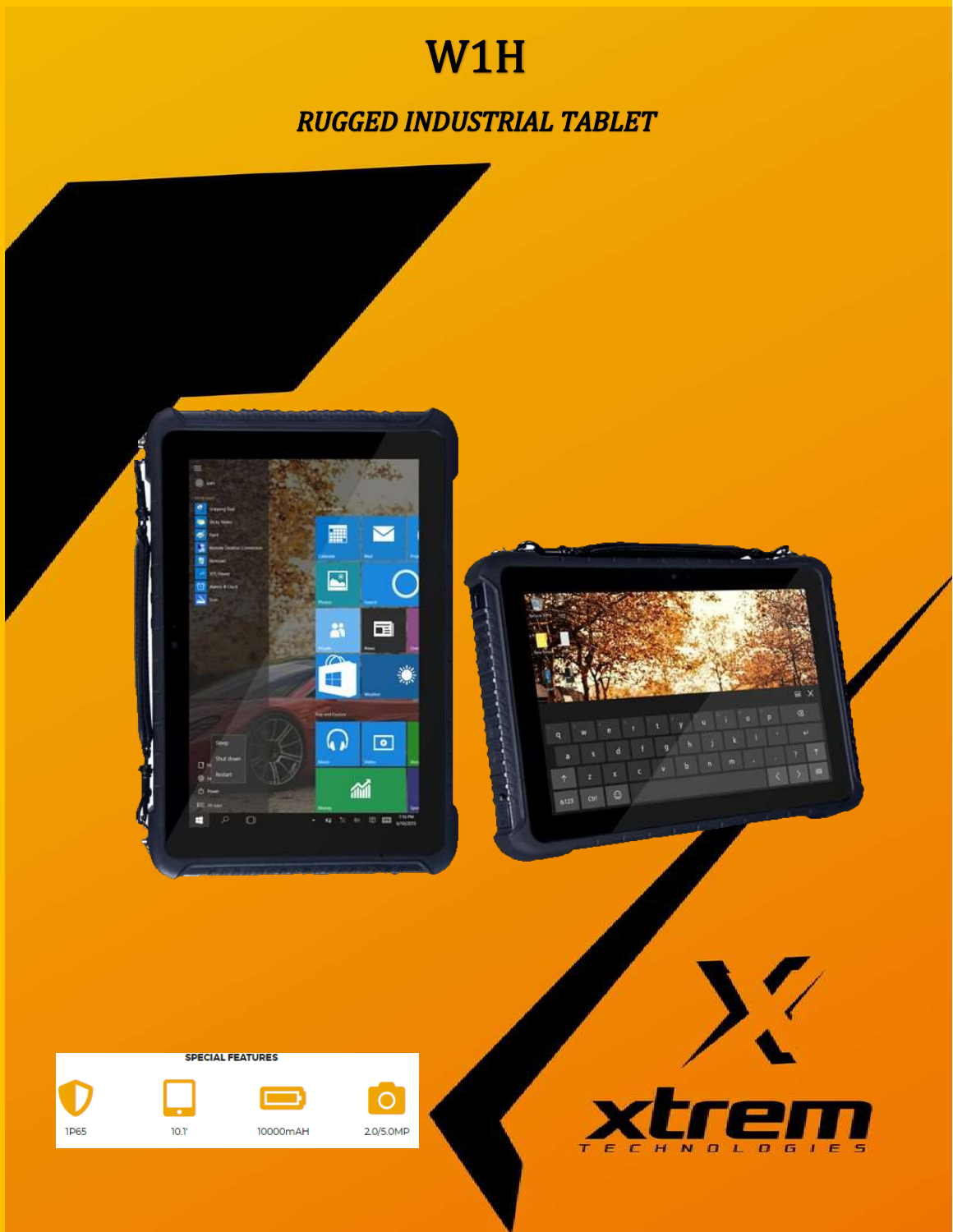## W1H

**RUGGED INDUSTRIAL TABLET** 

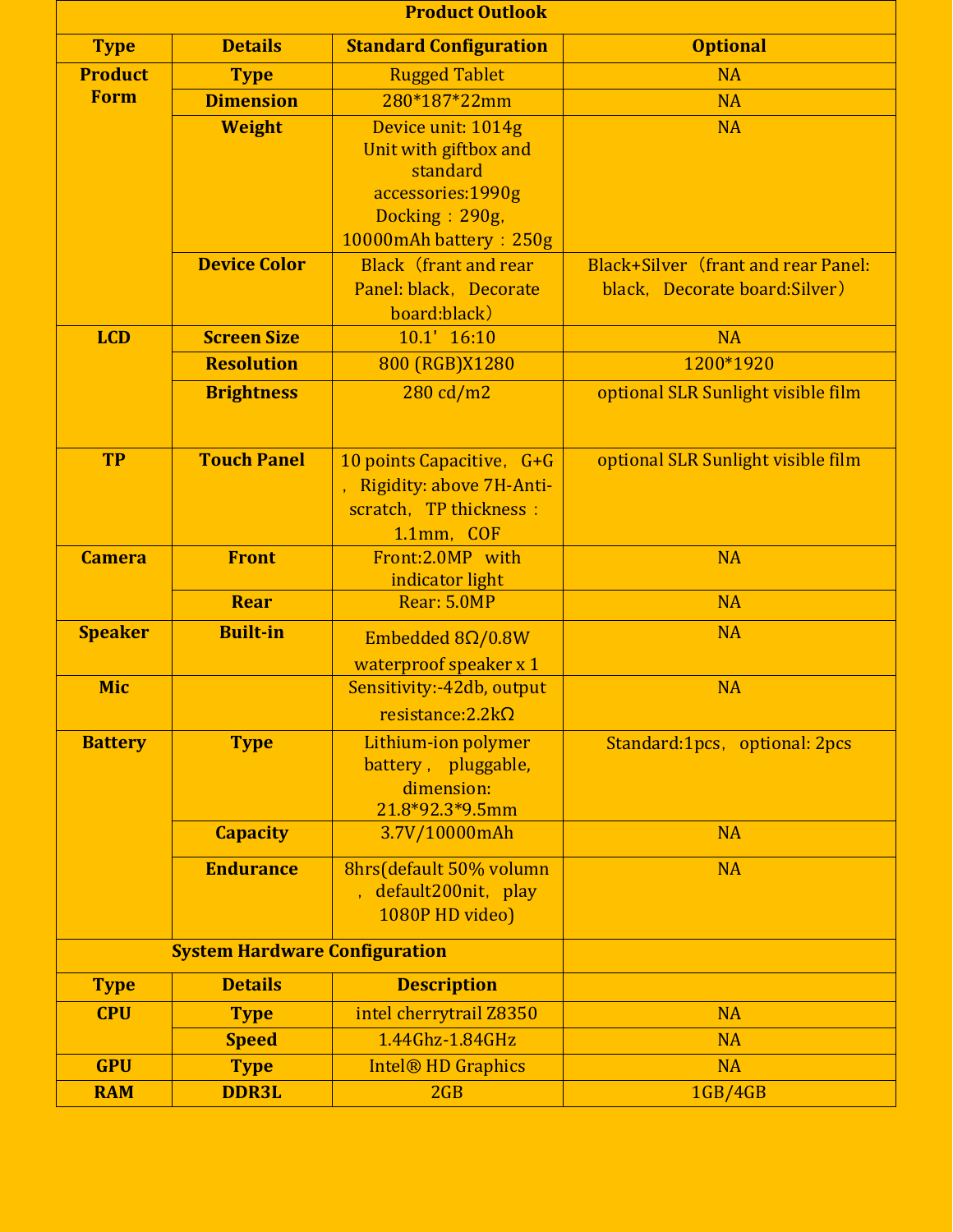| <b>Product Outlook</b> |                                      |                                                                                                                          |                                                                              |
|------------------------|--------------------------------------|--------------------------------------------------------------------------------------------------------------------------|------------------------------------------------------------------------------|
| <b>Type</b>            | <b>Details</b>                       | <b>Standard Configuration</b>                                                                                            | <b>Optional</b>                                                              |
| <b>Product</b>         | <b>Type</b>                          | <b>Rugged Tablet</b>                                                                                                     | <b>NA</b>                                                                    |
| <b>Form</b>            | <b>Dimension</b>                     | 280*187*22mm                                                                                                             | <b>NA</b>                                                                    |
|                        | <b>Weight</b>                        | Device unit: 1014g<br>Unit with giftbox and<br>standard<br>accessories:1990g<br>Docking: 290g,<br>10000mAh battery: 250g | <b>NA</b>                                                                    |
|                        | <b>Device Color</b>                  | <b>Black</b> (frant and rear<br>Panel: black, Decorate<br>board:black)                                                   | <b>Black+Silver (frant and rear Panel:</b><br>black, Decorate board: Silver) |
| <b>LCD</b>             | <b>Screen Size</b>                   | 10.1' 16:10                                                                                                              | <b>NA</b>                                                                    |
|                        | <b>Resolution</b>                    | 800 (RGB)X1280                                                                                                           | 1200*1920                                                                    |
|                        | <b>Brightness</b>                    | 280 cd/m2                                                                                                                | optional SLR Sunlight visible film                                           |
| <b>TP</b>              | <b>Touch Panel</b>                   | 10 points Capacitive, G+G<br>Rigidity: above 7H-Anti-<br>scratch, TP thickness :<br>1.1mm, COF                           | optional SLR Sunlight visible film                                           |
| <b>Camera</b>          | <b>Front</b>                         | Front:2.0MP with<br>indicator light                                                                                      | <b>NA</b>                                                                    |
|                        | <b>Rear</b>                          | Rear: 5.0MP                                                                                                              | <b>NA</b>                                                                    |
| <b>Speaker</b>         | <b>Built-in</b>                      | Embedded $8\Omega/0.8W$<br>waterproof speaker x 1                                                                        | <b>NA</b>                                                                    |
| <b>Mic</b>             |                                      | Sensitivity:-42db, output<br>resistance: $2.2k\Omega$                                                                    | <b>NA</b>                                                                    |
| <b>Battery</b>         | <b>Type</b>                          | Lithium-ion polymer<br>battery, pluggable,<br>dimension:<br>21.8*92.3*9.5mm                                              | Standard:1pcs, optional: 2pcs                                                |
|                        | <b>Capacity</b>                      | 3.7V/10000mAh                                                                                                            | <b>NA</b>                                                                    |
|                        | <b>Endurance</b>                     | 8hrs(default 50% volumn<br>default200nit, play<br>1080P HD video)                                                        | <b>NA</b>                                                                    |
|                        | <b>System Hardware Configuration</b> |                                                                                                                          |                                                                              |
| <b>Type</b>            | <b>Details</b>                       | <b>Description</b>                                                                                                       |                                                                              |
| <b>CPU</b>             | <b>Type</b>                          | intel cherrytrail Z8350                                                                                                  | <b>NA</b>                                                                    |
|                        | <b>Speed</b>                         | 1.44Ghz-1.84GHz                                                                                                          | <b>NA</b>                                                                    |
| <b>GPU</b>             | <b>Type</b>                          | <b>Intel® HD Graphics</b>                                                                                                | <b>NA</b>                                                                    |
| <b>RAM</b>             | <b>DDR3L</b>                         | 2GB                                                                                                                      | <b>1GB/4GB</b>                                                               |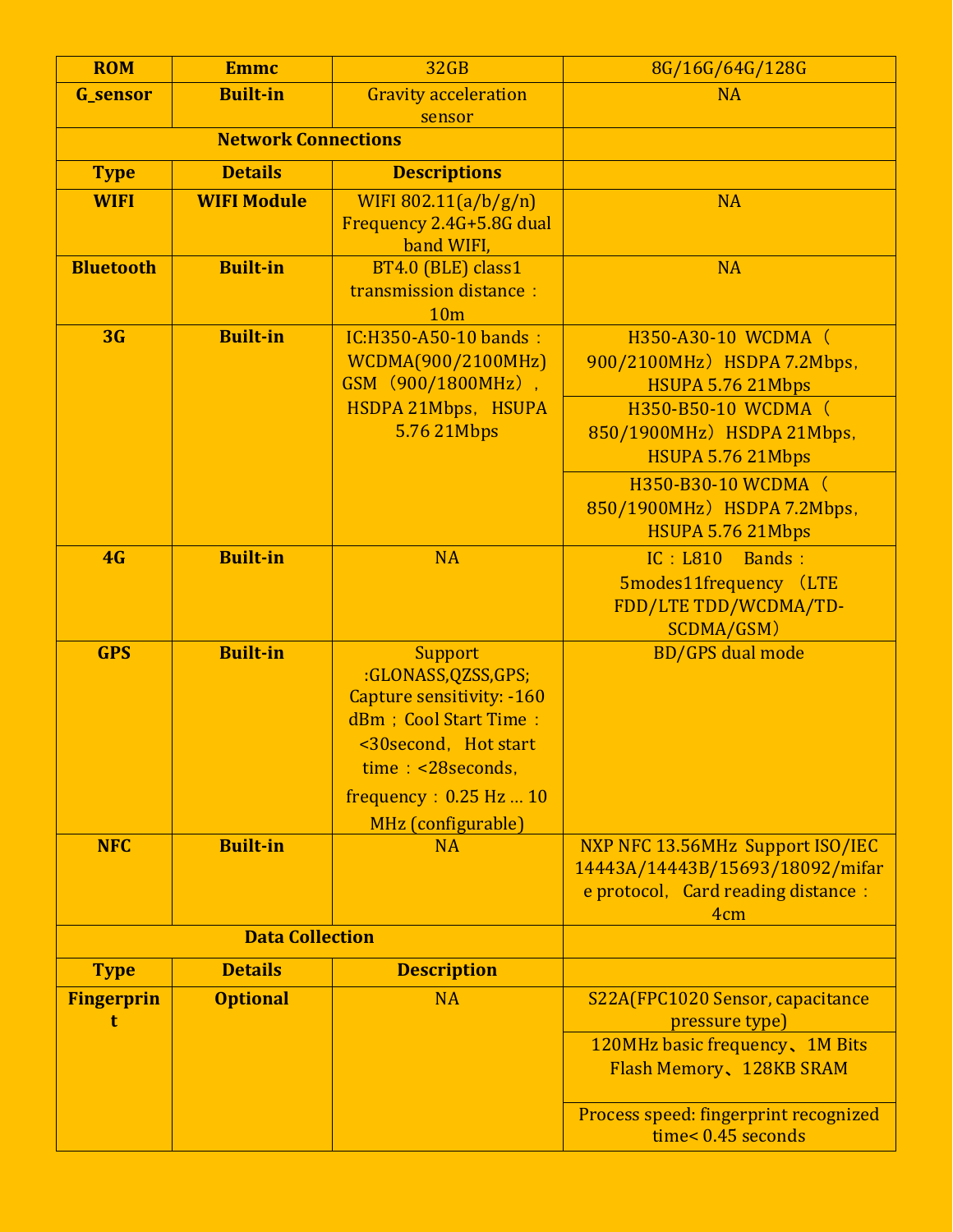| <b>ROM</b>             | <b>Emmc</b>                | 32 <sub>GB</sub>                                                                                                                                                                             | 8G/16G/64G/128G                                                                                                                                                                  |
|------------------------|----------------------------|----------------------------------------------------------------------------------------------------------------------------------------------------------------------------------------------|----------------------------------------------------------------------------------------------------------------------------------------------------------------------------------|
| <b>G_sensor</b>        | <b>Built-in</b>            | <b>Gravity acceleration</b>                                                                                                                                                                  | <b>NA</b>                                                                                                                                                                        |
|                        |                            | sensor                                                                                                                                                                                       |                                                                                                                                                                                  |
|                        | <b>Network Connections</b> |                                                                                                                                                                                              |                                                                                                                                                                                  |
| <b>Type</b>            | <b>Details</b>             | <b>Descriptions</b>                                                                                                                                                                          |                                                                                                                                                                                  |
| <b>WIFI</b>            | <b>WIFI Module</b>         | WIFI 802.11( $a/b/g/n$ )<br>Frequency 2.4G+5.8G dual<br>band WIFI,                                                                                                                           | <b>NA</b>                                                                                                                                                                        |
| <b>Bluetooth</b>       | <b>Built-in</b>            | BT4.0 (BLE) class1<br>transmission distance:<br>10 <sub>m</sub>                                                                                                                              | <b>NA</b>                                                                                                                                                                        |
| 3 <sub>G</sub>         | <b>Built-in</b>            | IC:H350-A50-10 bands:<br>WCDMA(900/2100MHz)<br>GSM (900/1800MHz),<br>HSDPA 21Mbps, HSUPA<br>5.76 21 Mbps                                                                                     | H350-A30-10 WCDMA (<br>900/2100MHz) HSDPA 7.2Mbps,<br>HSUPA 5.76 21Mbps<br>H350-B50-10 WCDMA (<br>850/1900MHz) HSDPA 21Mbps,<br>HSUPA 5.76 21Mbps                                |
|                        |                            |                                                                                                                                                                                              | H350-B30-10 WCDMA (<br>850/1900MHz) HSDPA 7.2Mbps,<br>HSUPA 5.76 21Mbps                                                                                                          |
| 4G                     | <b>Built-in</b>            | <b>NA</b>                                                                                                                                                                                    | IC: L810<br>Bands:<br>5modes11frequency (LTE<br>FDD/LTE TDD/WCDMA/TD-<br>SCDMA/GSM)                                                                                              |
| <b>GPS</b>             | <b>Built-in</b>            | Support<br>:GLONASS,QZSS,GPS;<br><b>Capture sensitivity: -160</b><br>dBm ; Cool Start Time :<br><30second, Hot start<br>time: <28seconds,<br>frequency: $0.25$ Hz $10$<br>MHz (configurable) | <b>BD/GPS</b> dual mode                                                                                                                                                          |
| <b>NFC</b>             | <b>Built-in</b>            | <b>NA</b>                                                                                                                                                                                    | NXP NFC 13.56MHz Support ISO/IEC<br>14443A/14443B/15693/18092/mifar<br>e protocol, Card reading distance :<br>4 <sub>cm</sub>                                                    |
|                        | <b>Data Collection</b>     |                                                                                                                                                                                              |                                                                                                                                                                                  |
| <b>Type</b>            | <b>Details</b>             | <b>Description</b>                                                                                                                                                                           |                                                                                                                                                                                  |
| <b>Fingerprin</b><br>t | <b>Optional</b>            | <b>NA</b>                                                                                                                                                                                    | S22A(FPC1020 Sensor, capacitance<br>pressure type)<br>120MHz basic frequency, 1M Bits<br>Flash Memory, 128KB SRAM<br>Process speed: fingerprint recognized<br>time< 0.45 seconds |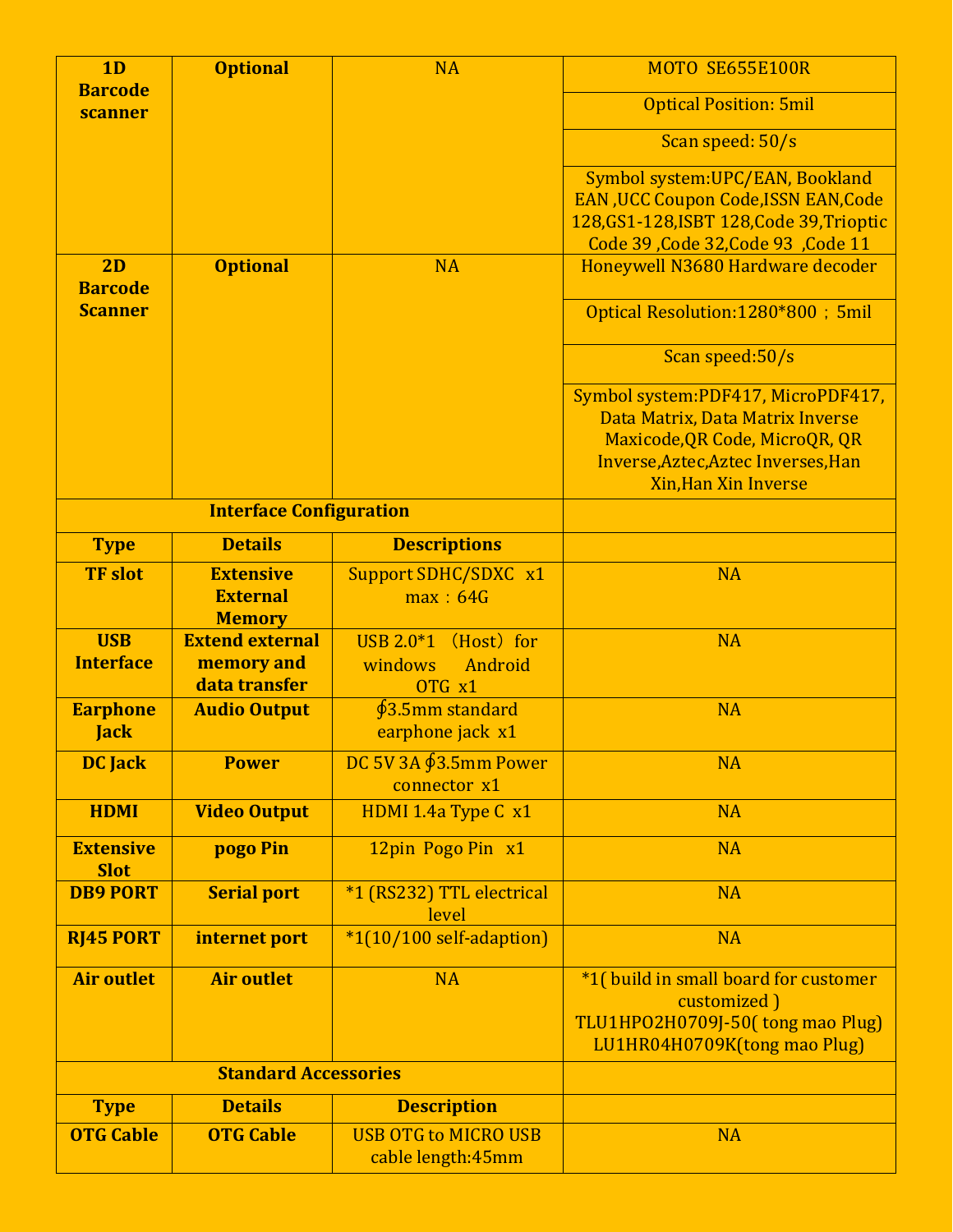| 1 <sub>D</sub>                  | <b>Optional</b>                                       | <b>NA</b>                                                                      | MOTO SE655E100R                                                                                                                                                                |
|---------------------------------|-------------------------------------------------------|--------------------------------------------------------------------------------|--------------------------------------------------------------------------------------------------------------------------------------------------------------------------------|
| <b>Barcode</b><br>scanner       |                                                       |                                                                                | <b>Optical Position: 5mil</b>                                                                                                                                                  |
|                                 |                                                       |                                                                                | Scan speed: 50/s                                                                                                                                                               |
|                                 |                                                       |                                                                                | Symbol system: UPC/EAN, Bookland<br><b>EAN, UCC Coupon Code, ISSN EAN, Code</b><br>128, GS1-128, ISBT 128, Code 39, Trioptic<br>Code 39, Code 32, Code 93, Code 11             |
| 2D<br><b>Barcode</b>            | <b>Optional</b>                                       | <b>NA</b>                                                                      | Honeywell N3680 Hardware decoder                                                                                                                                               |
| <b>Scanner</b>                  |                                                       |                                                                                | Optical Resolution:1280*800; 5mil                                                                                                                                              |
|                                 |                                                       |                                                                                | Scan speed:50/s                                                                                                                                                                |
|                                 |                                                       |                                                                                | Symbol system:PDF417, MicroPDF417,<br>Data Matrix, Data Matrix Inverse<br>Maxicode, QR Code, MicroQR, QR<br>Inverse, Aztec, Aztec Inverses, Han<br><b>Xin, Han Xin Inverse</b> |
|                                 | <b>Interface Configuration</b>                        |                                                                                |                                                                                                                                                                                |
| <b>Type</b>                     | <b>Details</b>                                        | <b>Descriptions</b>                                                            |                                                                                                                                                                                |
| <b>TF</b> slot                  | <b>Extensive</b><br><b>External</b><br><b>Memory</b>  | Support SDHC/SDXC x1<br>max: 64G                                               | <b>NA</b>                                                                                                                                                                      |
| <b>USB</b><br><b>Interface</b>  | <b>Extend external</b><br>memory and<br>data transfer | $\overline{USB 2.0}$ <sup>*</sup> 1 (Host) for<br>Android<br>windows<br>OTG x1 | <b>NA</b>                                                                                                                                                                      |
| <b>Earphone</b><br><b>Jack</b>  | <b>Audio Output</b>                                   | $63.5$ mm standard<br>earphone jack x1                                         | <b>NA</b>                                                                                                                                                                      |
| <b>DC</b> Jack                  | <b>Power</b>                                          | DC 5V 3A $63.5$ mm Power<br>connector x1                                       | <b>NA</b>                                                                                                                                                                      |
| <b>HDMI</b>                     | <b>Video Output</b>                                   | HDMI 1.4a Type C x1                                                            | <b>NA</b>                                                                                                                                                                      |
| <b>Extensive</b><br><b>Slot</b> | pogo Pin                                              | 12pin Pogo Pin x1                                                              | <b>NA</b>                                                                                                                                                                      |
| <b>DB9 PORT</b>                 | <b>Serial port</b>                                    | *1 (RS232) TTL electrical<br>level                                             | <b>NA</b>                                                                                                                                                                      |
| <b>RJ45 PORT</b>                | internet port                                         | $*1(10/100 \text{ self-adaption})$                                             | <b>NA</b>                                                                                                                                                                      |
| <b>Air outlet</b>               | <b>Air outlet</b>                                     | <b>NA</b>                                                                      | *1(build in small board for customer<br>customized)<br>TLU1HPO2H0709J-50(tong mao Plug)<br>LU1HR04H0709K(tong mao Plug)                                                        |
|                                 | <b>Standard Accessories</b>                           |                                                                                |                                                                                                                                                                                |
| <b>Type</b>                     | <b>Details</b>                                        | <b>Description</b>                                                             |                                                                                                                                                                                |
| <b>OTG Cable</b>                | <b>OTG Cable</b>                                      | <b>USB OTG to MICRO USB</b><br>cable length: 45mm                              | <b>NA</b>                                                                                                                                                                      |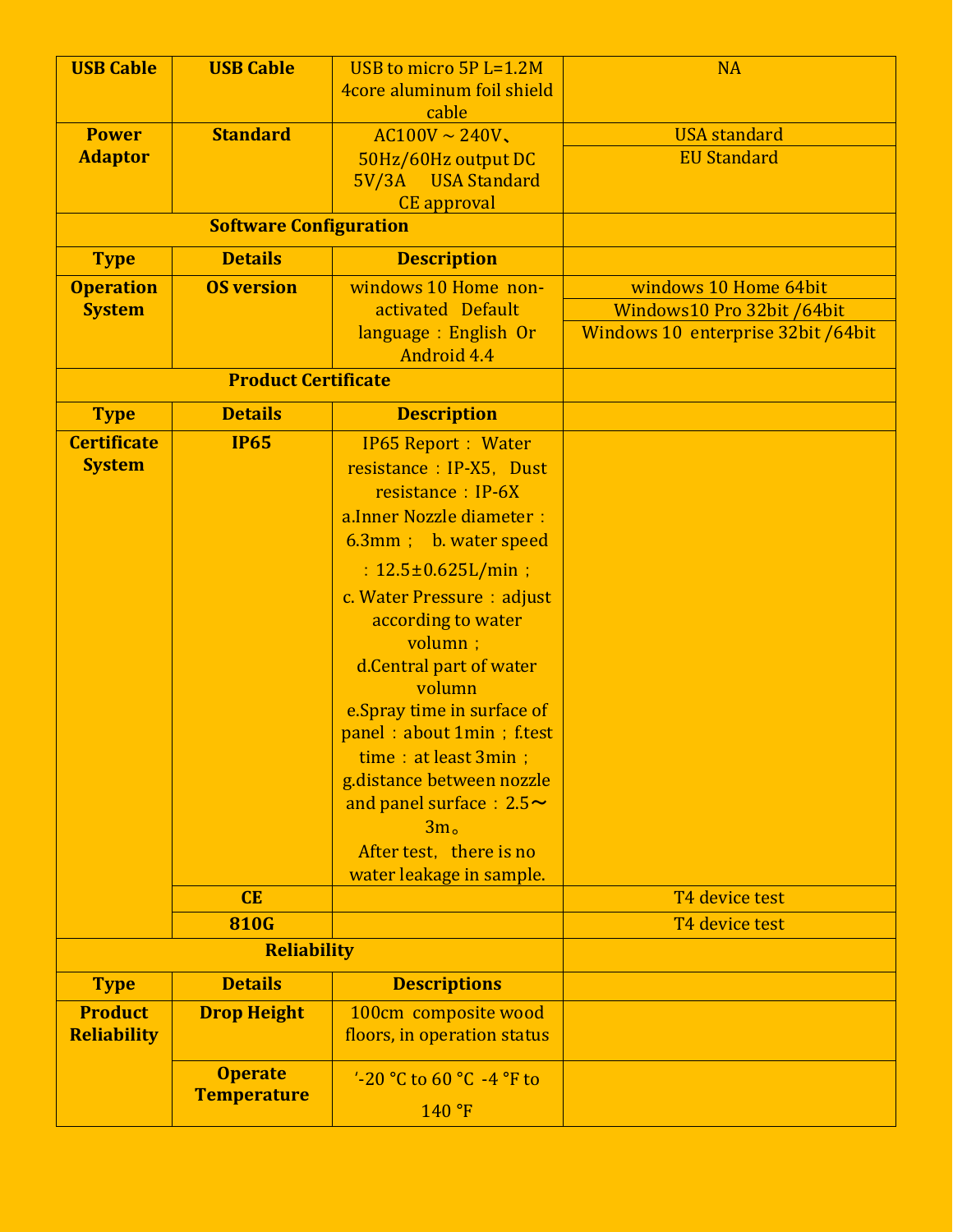| <b>USB Cable</b>   | <b>USB Cable</b>              | USB to micro 5P L=1.2M         | <b>NA</b>                          |
|--------------------|-------------------------------|--------------------------------|------------------------------------|
|                    |                               | 4core aluminum foil shield     |                                    |
|                    |                               | cable                          |                                    |
| <b>Power</b>       | <b>Standard</b>               | $AC100V \sim 240V$             | <b>USA</b> standard                |
| <b>Adaptor</b>     |                               | 50Hz/60Hz output DC            | <b>EU Standard</b>                 |
|                    |                               | 5V/3A USA Standard             |                                    |
|                    |                               | <b>CE</b> approval             |                                    |
|                    | <b>Software Configuration</b> |                                |                                    |
| <b>Type</b>        | <b>Details</b>                | <b>Description</b>             |                                    |
| <b>Operation</b>   | <b>OS version</b>             | windows 10 Home non-           | windows 10 Home 64bit              |
| <b>System</b>      |                               | activated Default              | Windows10 Pro 32bit /64bit         |
|                    |                               | language : English Or          | Windows 10 enterprise 32bit /64bit |
|                    |                               | Android 4.4                    |                                    |
|                    | <b>Product Certificate</b>    |                                |                                    |
| <b>Type</b>        | <b>Details</b>                | <b>Description</b>             |                                    |
| <b>Certificate</b> | <b>IP65</b>                   | <b>IP65 Report : Water</b>     |                                    |
| <b>System</b>      |                               | resistance : IP-X5, Dust       |                                    |
|                    |                               | resistance : IP-6X             |                                    |
|                    |                               | a. Inner Nozzle diameter :     |                                    |
|                    |                               | 6.3mm; b. water speed          |                                    |
|                    |                               | : $12.5 \pm 0.625 L/min$ ;     |                                    |
|                    |                               | c. Water Pressure : adjust     |                                    |
|                    |                               | according to water             |                                    |
|                    |                               | volumn ;                       |                                    |
|                    |                               | d.Central part of water        |                                    |
|                    |                               | volumn                         |                                    |
|                    |                               | e.Spray time in surface of     |                                    |
|                    |                               | panel: about 1min ; f.test     |                                    |
|                    |                               | $time:$ at least 3min;         |                                    |
|                    |                               | g.distance between nozzle      |                                    |
|                    |                               | and panel surface : $2.5 \sim$ |                                    |
|                    |                               | 3m <sub>o</sub>                |                                    |
|                    |                               | After test, there is no        |                                    |
|                    |                               | water leakage in sample.       |                                    |
|                    | CE                            |                                | T4 device test                     |
|                    | <b>810G</b>                   |                                | T4 device test                     |
|                    | <b>Reliability</b>            |                                |                                    |
| <b>Type</b>        | <b>Details</b>                | <b>Descriptions</b>            |                                    |
| <b>Product</b>     | <b>Drop Height</b>            | 100cm composite wood           |                                    |
| <b>Reliability</b> |                               | floors, in operation status    |                                    |
|                    | <b>Operate</b>                | $-20$ °C to 60 °C -4 °F to     |                                    |
|                    | <b>Temperature</b>            |                                |                                    |
|                    |                               | 140°F                          |                                    |